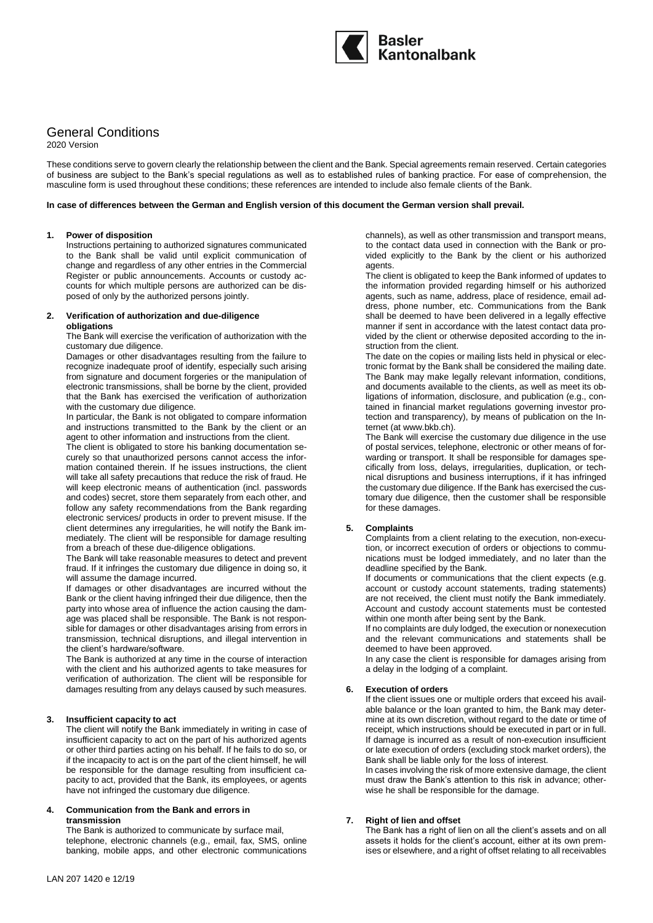

# General Conditions

2020 Version

These conditions serve to govern clearly the relationship between the client and the Bank. Special agreements remain reserved. Certain categories of business are subject to the Bank's special regulations as well as to established rules of banking practice. For ease of comprehension, the masculine form is used throughout these conditions; these references are intended to include also female clients of the Bank.

#### **In case of differences between the German and English version of this document the German version shall prevail.**

#### **1. Power of disposition**

Instructions pertaining to authorized signatures communicated to the Bank shall be valid until explicit communication of change and regardless of any other entries in the Commercial Register or public announcements. Accounts or custody accounts for which multiple persons are authorized can be disposed of only by the authorized persons jointly.

#### **2. Verification of authorization and due-diligence obligations**

The Bank will exercise the verification of authorization with the customary due diligence.

Damages or other disadvantages resulting from the failure to recognize inadequate proof of identify, especially such arising from signature and document forgeries or the manipulation of electronic transmissions, shall be borne by the client, provided that the Bank has exercised the verification of authorization with the customary due diligence.

In particular, the Bank is not obligated to compare information and instructions transmitted to the Bank by the client or an agent to other information and instructions from the client.

The client is obligated to store his banking documentation securely so that unauthorized persons cannot access the information contained therein. If he issues instructions, the client will take all safety precautions that reduce the risk of fraud. He will keep electronic means of authentication (incl. passwords and codes) secret, store them separately from each other, and follow any safety recommendations from the Bank regarding electronic services/ products in order to prevent misuse. If the client determines any irregularities, he will notify the Bank immediately. The client will be responsible for damage resulting from a breach of these due-diligence obligations.

The Bank will take reasonable measures to detect and prevent fraud. If it infringes the customary due diligence in doing so, it will assume the damage incurred.

If damages or other disadvantages are incurred without the Bank or the client having infringed their due diligence, then the party into whose area of influence the action causing the damage was placed shall be responsible. The Bank is not responsible for damages or other disadvantages arising from errors in transmission, technical disruptions, and illegal intervention in the client's hardware/software.

The Bank is authorized at any time in the course of interaction with the client and his authorized agents to take measures for verification of authorization. The client will be responsible for damages resulting from any delays caused by such measures.

# **3. Insufficient capacity to act**

The client will notify the Bank immediately in writing in case of insufficient capacity to act on the part of his authorized agents or other third parties acting on his behalf. If he fails to do so, or if the incapacity to act is on the part of the client himself, he will be responsible for the damage resulting from insufficient capacity to act, provided that the Bank, its employees, or agents have not infringed the customary due diligence.

### **4. Communication from the Bank and errors in transmission**

The Bank is authorized to communicate by surface mail, telephone, electronic channels (e.g., email, fax, SMS, online banking, mobile apps, and other electronic communications

channels), as well as other transmission and transport means, to the contact data used in connection with the Bank or provided explicitly to the Bank by the client or his authorized agents.

The client is obligated to keep the Bank informed of updates to the information provided regarding himself or his authorized agents, such as name, address, place of residence, email address, phone number, etc. Communications from the Bank shall be deemed to have been delivered in a legally effective manner if sent in accordance with the latest contact data provided by the client or otherwise deposited according to the instruction from the client.

The date on the copies or mailing lists held in physical or electronic format by the Bank shall be considered the mailing date. The Bank may make legally relevant information, conditions, and documents available to the clients, as well as meet its obligations of information, disclosure, and publication (e.g., contained in financial market regulations governing investor protection and transparency), by means of publication on the Internet (at www.bkb.ch).

The Bank will exercise the customary due diligence in the use of postal services, telephone, electronic or other means of forwarding or transport. It shall be responsible for damages specifically from loss, delays, irregularities, duplication, or technical disruptions and business interruptions, if it has infringed the customary due diligence. If the Bank has exercised the customary due diligence, then the customer shall be responsible for these damages.

# **5. Complaints**

Complaints from a client relating to the execution, non-execution, or incorrect execution of orders or objections to communications must be lodged immediately, and no later than the deadline specified by the Bank.

If documents or communications that the client expects (e.g. account or custody account statements, trading statements) are not received, the client must notify the Bank immediately. Account and custody account statements must be contested within one month after being sent by the Bank.

If no complaints are duly lodged, the execution or nonexecution and the relevant communications and statements shall be deemed to have been approved.

In any case the client is responsible for damages arising from a delay in the lodging of a complaint.

# **6. Execution of orders**

If the client issues one or multiple orders that exceed his available balance or the loan granted to him, the Bank may determine at its own discretion, without regard to the date or time of receipt, which instructions should be executed in part or in full. If damage is incurred as a result of non-execution insufficient or late execution of orders (excluding stock market orders), the Bank shall be liable only for the loss of interest.

In cases involving the risk of more extensive damage, the client must draw the Bank's attention to this risk in advance; otherwise he shall be responsible for the damage.

# **7. Right of lien and offset**

The Bank has a right of lien on all the client's assets and on all assets it holds for the client's account, either at its own premises or elsewhere, and a right of offset relating to all receivables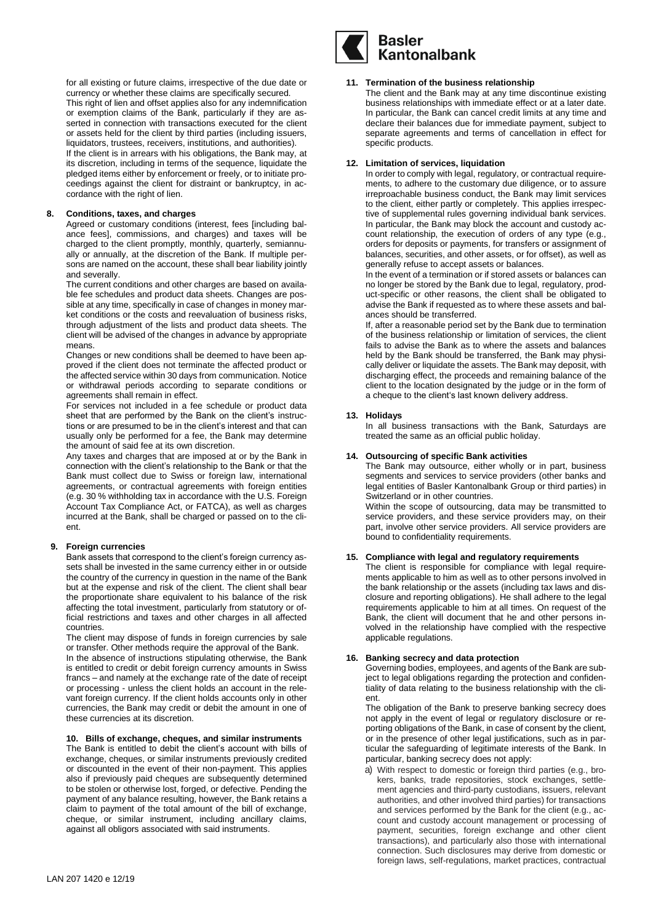for all existing or future claims, irrespective of the due date or currency or whether these claims are specifically secured. This right of lien and offset applies also for any indemnification or exemption claims of the Bank, particularly if they are asserted in connection with transactions executed for the client or assets held for the client by third parties (including issuers, liquidators, trustees, receivers, institutions, and authorities). If the client is in arrears with his obligations, the Bank may, at its discretion, including in terms of the sequence, liquidate the pledged items either by enforcement or freely, or to initiate proceedings against the client for distraint or bankruptcy, in accordance with the right of lien.

### **8. Conditions, taxes, and charges**

Agreed or customary conditions (interest, fees [including balance fees], commissions, and charges) and taxes will be charged to the client promptly, monthly, quarterly, semiannually or annually, at the discretion of the Bank. If multiple persons are named on the account, these shall bear liability jointly and severally.

The current conditions and other charges are based on available fee schedules and product data sheets. Changes are possible at any time, specifically in case of changes in money market conditions or the costs and reevaluation of business risks, through adjustment of the lists and product data sheets. The client will be advised of the changes in advance by appropriate means.

Changes or new conditions shall be deemed to have been approved if the client does not terminate the affected product or the affected service within 30 days from communication. Notice or withdrawal periods according to separate conditions or agreements shall remain in effect.

For services not included in a fee schedule or product data sheet that are performed by the Bank on the client's instructions or are presumed to be in the client's interest and that can usually only be performed for a fee, the Bank may determine the amount of said fee at its own discretion.

Any taxes and charges that are imposed at or by the Bank in connection with the client's relationship to the Bank or that the Bank must collect due to Swiss or foreign law, international agreements, or contractual agreements with foreign entities (e.g. 30 % withholding tax in accordance with the U.S. Foreign Account Tax Compliance Act, or FATCA), as well as charges incurred at the Bank, shall be charged or passed on to the client.

# **9. Foreign currencies**

Bank assets that correspond to the client's foreign currency assets shall be invested in the same currency either in or outside the country of the currency in question in the name of the Bank but at the expense and risk of the client. The client shall bear the proportionate share equivalent to his balance of the risk affecting the total investment, particularly from statutory or official restrictions and taxes and other charges in all affected countries.

The client may dispose of funds in foreign currencies by sale or transfer. Other methods require the approval of the Bank.

In the absence of instructions stipulating otherwise, the Bank is entitled to credit or debit foreign currency amounts in Swiss francs – and namely at the exchange rate of the date of receipt or processing - unless the client holds an account in the relevant foreign currency. If the client holds accounts only in other currencies, the Bank may credit or debit the amount in one of these currencies at its discretion.

### **10. Bills of exchange, cheques, and similar instruments**

The Bank is entitled to debit the client's account with bills of exchange, cheques, or similar instruments previously credited or discounted in the event of their non-payment. This applies also if previously paid cheques are subsequently determined to be stolen or otherwise lost, forged, or defective. Pending the payment of any balance resulting, however, the Bank retains a claim to payment of the total amount of the bill of exchange, cheque, or similar instrument, including ancillary claims, against all obligors associated with said instruments.



#### **11. Termination of the business relationship**

The client and the Bank may at any time discontinue existing business relationships with immediate effect or at a later date. In particular, the Bank can cancel credit limits at any time and declare their balances due for immediate payment, subject to separate agreements and terms of cancellation in effect for specific products.

# **12. Limitation of services, liquidation**

In order to comply with legal, regulatory, or contractual requirements, to adhere to the customary due diligence, or to assure irreproachable business conduct, the Bank may limit services to the client, either partly or completely. This applies irrespective of supplemental rules governing individual bank services. In particular, the Bank may block the account and custody account relationship, the execution of orders of any type (e.g., orders for deposits or payments, for transfers or assignment of balances, securities, and other assets, or for offset), as well as generally refuse to accept assets or balances.

In the event of a termination or if stored assets or balances can no longer be stored by the Bank due to legal, regulatory, product-specific or other reasons, the client shall be obligated to advise the Bank if requested as to where these assets and balances should be transferred.

If, after a reasonable period set by the Bank due to termination of the business relationship or limitation of services, the client fails to advise the Bank as to where the assets and balances held by the Bank should be transferred, the Bank may physically deliver or liquidate the assets. The Bank may deposit, with discharging effect, the proceeds and remaining balance of the client to the location designated by the judge or in the form of a cheque to the client's last known delivery address.

# **13. Holidays**

In all business transactions with the Bank, Saturdays are treated the same as an official public holiday.

# **14. Outsourcing of specific Bank activities**

The Bank may outsource, either wholly or in part, business segments and services to service providers (other banks and legal entities of Basler Kantonalbank Group or third parties) in Switzerland or in other countries. Within the scope of outsourcing, data may be transmitted to

service providers, and these service providers may, on their part, involve other service providers. All service providers are bound to confidentiality requirements.

# **15. Compliance with legal and regulatory requirements**

The client is responsible for compliance with legal requirements applicable to him as well as to other persons involved in the bank relationship or the assets (including tax laws and disclosure and reporting obligations). He shall adhere to the legal requirements applicable to him at all times. On request of the Bank, the client will document that he and other persons involved in the relationship have complied with the respective applicable regulations.

#### **16. Banking secrecy and data protection**

Governing bodies, employees, and agents of the Bank are subject to legal obligations regarding the protection and confidentiality of data relating to the business relationship with the client.

The obligation of the Bank to preserve banking secrecy does not apply in the event of legal or regulatory disclosure or reporting obligations of the Bank, in case of consent by the client, or in the presence of other legal justifications, such as in particular the safeguarding of legitimate interests of the Bank. In particular, banking secrecy does not apply:

a) With respect to domestic or foreign third parties (e.g., brokers, banks, trade repositories, stock exchanges, settlement agencies and third-party custodians, issuers, relevant authorities, and other involved third parties) for transactions and services performed by the Bank for the client (e.g., account and custody account management or processing of payment, securities, foreign exchange and other client transactions), and particularly also those with international connection. Such disclosures may derive from domestic or foreign laws, self-regulations, market practices, contractual